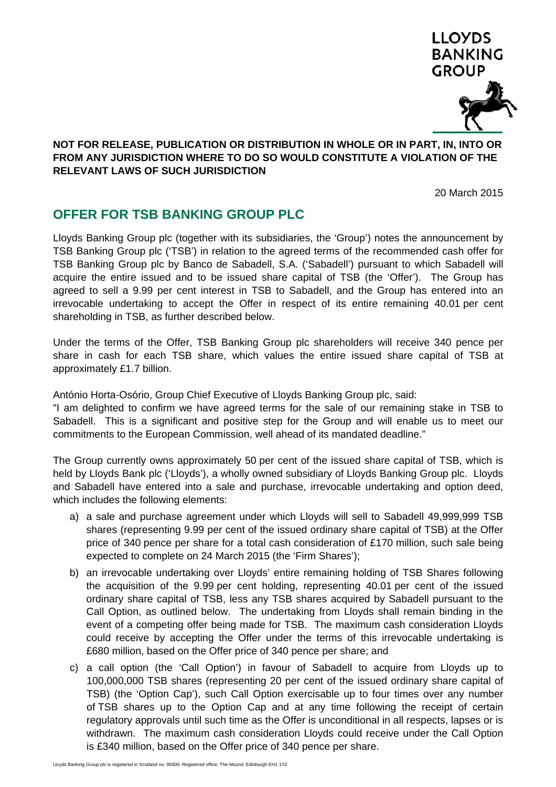

## **NOT FOR RELEASE, PUBLICATION OR DISTRIBUTION IN WHOLE OR IN PART, IN, INTO OR FROM ANY JURISDICTION WHERE TO DO SO WOULD CONSTITUTE A VIOLATION OF THE RELEVANT LAWS OF SUCH JURISDICTION**

20 March 2015

# **OFFER FOR TSB BANKING GROUP PLC**

Lloyds Banking Group plc (together with its subsidiaries, the 'Group') notes the announcement by TSB Banking Group plc ('TSB') in relation to the agreed terms of the recommended cash offer for TSB Banking Group plc by Banco de Sabadell, S.A. ('Sabadell') pursuant to which Sabadell will acquire the entire issued and to be issued share capital of TSB (the 'Offer'). The Group has agreed to sell a 9.99 per cent interest in TSB to Sabadell, and the Group has entered into an irrevocable undertaking to accept the Offer in respect of its entire remaining 40.01 per cent shareholding in TSB, as further described below.

Under the terms of the Offer, TSB Banking Group plc shareholders will receive 340 pence per share in cash for each TSB share, which values the entire issued share capital of TSB at approximately £1.7 billion.

António Horta-Osório, Group Chief Executive of Lloyds Banking Group plc, said:

"I am delighted to confirm we have agreed terms for the sale of our remaining stake in TSB to Sabadell. This is a significant and positive step for the Group and will enable us to meet our commitments to the European Commission, well ahead of its mandated deadline."

The Group currently owns approximately 50 per cent of the issued share capital of TSB, which is held by Lloyds Bank plc ('Lloyds'), a wholly owned subsidiary of Lloyds Banking Group plc. Lloyds and Sabadell have entered into a sale and purchase, irrevocable undertaking and option deed, which includes the following elements:

- a) a sale and purchase agreement under which Lloyds will sell to Sabadell 49,999,999 TSB shares (representing 9.99 per cent of the issued ordinary share capital of TSB) at the Offer price of 340 pence per share for a total cash consideration of £170 million, such sale being expected to complete on 24 March 2015 (the 'Firm Shares');
- b) an irrevocable undertaking over Lloyds' entire remaining holding of TSB Shares following the acquisition of the 9.99 per cent holding, representing 40.01 per cent of the issued ordinary share capital of TSB, less any TSB shares acquired by Sabadell pursuant to the Call Option, as outlined below. The undertaking from Lloyds shall remain binding in the event of a competing offer being made for TSB. The maximum cash consideration Lloyds could receive by accepting the Offer under the terms of this irrevocable undertaking is £680 million, based on the Offer price of 340 pence per share; and
- c) a call option (the 'Call Option') in favour of Sabadell to acquire from Lloyds up to 100,000,000 TSB shares (representing 20 per cent of the issued ordinary share capital of TSB) (the 'Option Cap'), such Call Option exercisable up to four times over any number of TSB shares up to the Option Cap and at any time following the receipt of certain regulatory approvals until such time as the Offer is unconditional in all respects, lapses or is withdrawn. The maximum cash consideration Lloyds could receive under the Call Option is £340 million, based on the Offer price of 340 pence per share.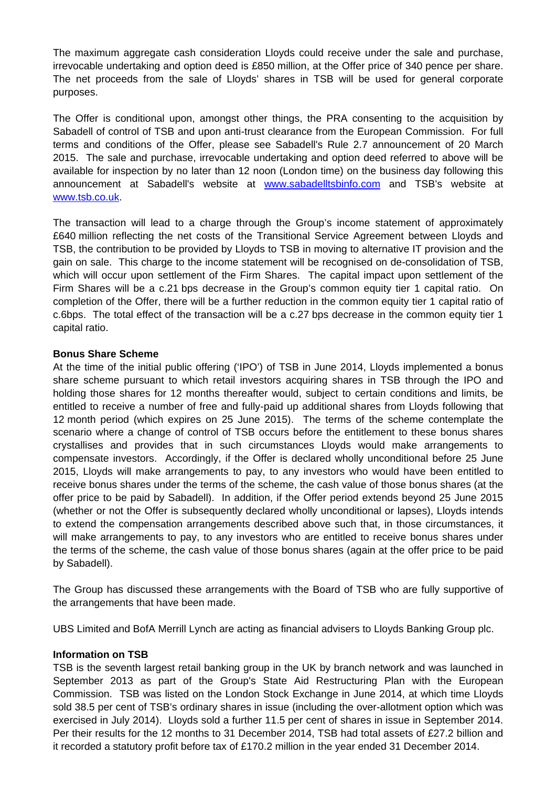The maximum aggregate cash consideration Lloyds could receive under the sale and purchase, irrevocable undertaking and option deed is £850 million, at the Offer price of 340 pence per share. The net proceeds from the sale of Lloyds' shares in TSB will be used for general corporate purposes.

The Offer is conditional upon, amongst other things, the PRA consenting to the acquisition by Sabadell of control of TSB and upon anti-trust clearance from the European Commission. For full terms and conditions of the Offer, please see Sabadell's Rule 2.7 announcement of 20 March 2015. The sale and purchase, irrevocable undertaking and option deed referred to above will be available for inspection by no later than 12 noon (London time) on the business day following this announcement at Sabadell's website at www.sabadelltsbinfo.com and TSB's website at www.tsb.co.uk.

The transaction will lead to a charge through the Group's income statement of approximately £640 million reflecting the net costs of the Transitional Service Agreement between Lloyds and TSB, the contribution to be provided by Lloyds to TSB in moving to alternative IT provision and the gain on sale. This charge to the income statement will be recognised on de-consolidation of TSB, which will occur upon settlement of the Firm Shares. The capital impact upon settlement of the Firm Shares will be a c.21 bps decrease in the Group's common equity tier 1 capital ratio. On completion of the Offer, there will be a further reduction in the common equity tier 1 capital ratio of c.6bps. The total effect of the transaction will be a c.27 bps decrease in the common equity tier 1 capital ratio.

### **Bonus Share Scheme**

At the time of the initial public offering ('IPO') of TSB in June 2014, Lloyds implemented a bonus share scheme pursuant to which retail investors acquiring shares in TSB through the IPO and holding those shares for 12 months thereafter would, subject to certain conditions and limits, be entitled to receive a number of free and fully-paid up additional shares from Lloyds following that 12 month period (which expires on 25 June 2015). The terms of the scheme contemplate the scenario where a change of control of TSB occurs before the entitlement to these bonus shares crystallises and provides that in such circumstances Lloyds would make arrangements to compensate investors. Accordingly, if the Offer is declared wholly unconditional before 25 June 2015, Lloyds will make arrangements to pay, to any investors who would have been entitled to receive bonus shares under the terms of the scheme, the cash value of those bonus shares (at the offer price to be paid by Sabadell). In addition, if the Offer period extends beyond 25 June 2015 (whether or not the Offer is subsequently declared wholly unconditional or lapses), Lloyds intends to extend the compensation arrangements described above such that, in those circumstances, it will make arrangements to pay, to any investors who are entitled to receive bonus shares under the terms of the scheme, the cash value of those bonus shares (again at the offer price to be paid by Sabadell).

The Group has discussed these arrangements with the Board of TSB who are fully supportive of the arrangements that have been made.

UBS Limited and BofA Merrill Lynch are acting as financial advisers to Lloyds Banking Group plc.

### **Information on TSB**

TSB is the seventh largest retail banking group in the UK by branch network and was launched in September 2013 as part of the Group's State Aid Restructuring Plan with the European Commission. TSB was listed on the London Stock Exchange in June 2014, at which time Lloyds sold 38.5 per cent of TSB's ordinary shares in issue (including the over-allotment option which was exercised in July 2014). Lloyds sold a further 11.5 per cent of shares in issue in September 2014. Per their results for the 12 months to 31 December 2014, TSB had total assets of £27.2 billion and it recorded a statutory profit before tax of £170.2 million in the year ended 31 December 2014.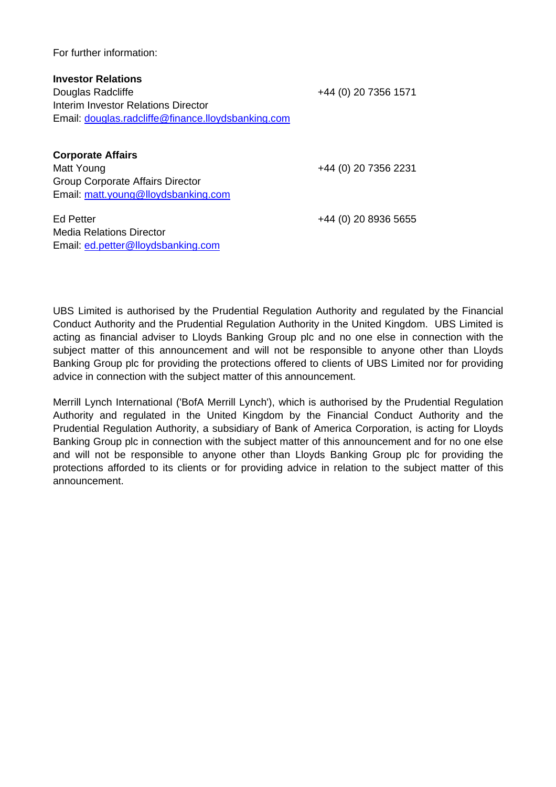For further information:

**Investor Relations**  Douglas Radcliffe **+44 (0) 20 7356 1571** Interim Investor Relations Director Email: douglas.radcliffe@finance.lloydsbanking.com

Email: ed.petter@lloydsbanking.com

| <b>Corporate Affairs</b>                |                      |
|-----------------------------------------|----------------------|
| Matt Young                              | +44 (0) 20 7356 2231 |
| <b>Group Corporate Affairs Director</b> |                      |
| Email: matt.young@lloydsbanking.com     |                      |
|                                         |                      |
| Ed Petter                               | +44 (0) 20 8936 5655 |
| <b>Media Relations Director</b>         |                      |

UBS Limited is authorised by the Prudential Regulation Authority and regulated by the Financial Conduct Authority and the Prudential Regulation Authority in the United Kingdom. UBS Limited is acting as financial adviser to Lloyds Banking Group plc and no one else in connection with the subject matter of this announcement and will not be responsible to anyone other than Lloyds Banking Group plc for providing the protections offered to clients of UBS Limited nor for providing advice in connection with the subject matter of this announcement.

Merrill Lynch International ('BofA Merrill Lynch'), which is authorised by the Prudential Regulation Authority and regulated in the United Kingdom by the Financial Conduct Authority and the Prudential Regulation Authority, a subsidiary of Bank of America Corporation, is acting for Lloyds Banking Group plc in connection with the subject matter of this announcement and for no one else and will not be responsible to anyone other than Lloyds Banking Group plc for providing the protections afforded to its clients or for providing advice in relation to the subject matter of this announcement.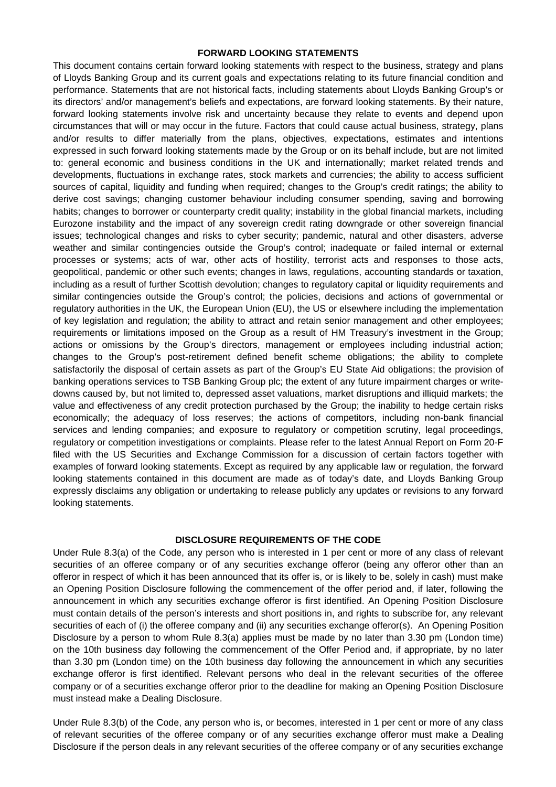#### **FORWARD LOOKING STATEMENTS**

This document contains certain forward looking statements with respect to the business, strategy and plans of Lloyds Banking Group and its current goals and expectations relating to its future financial condition and performance. Statements that are not historical facts, including statements about Lloyds Banking Group's or its directors' and/or management's beliefs and expectations, are forward looking statements. By their nature, forward looking statements involve risk and uncertainty because they relate to events and depend upon circumstances that will or may occur in the future. Factors that could cause actual business, strategy, plans and/or results to differ materially from the plans, objectives, expectations, estimates and intentions expressed in such forward looking statements made by the Group or on its behalf include, but are not limited to: general economic and business conditions in the UK and internationally; market related trends and developments, fluctuations in exchange rates, stock markets and currencies; the ability to access sufficient sources of capital, liquidity and funding when required; changes to the Group's credit ratings; the ability to derive cost savings; changing customer behaviour including consumer spending, saving and borrowing habits; changes to borrower or counterparty credit quality; instability in the global financial markets, including Eurozone instability and the impact of any sovereign credit rating downgrade or other sovereign financial issues; technological changes and risks to cyber security; pandemic, natural and other disasters, adverse weather and similar contingencies outside the Group's control; inadequate or failed internal or external processes or systems; acts of war, other acts of hostility, terrorist acts and responses to those acts, geopolitical, pandemic or other such events; changes in laws, regulations, accounting standards or taxation, including as a result of further Scottish devolution; changes to regulatory capital or liquidity requirements and similar contingencies outside the Group's control; the policies, decisions and actions of governmental or regulatory authorities in the UK, the European Union (EU), the US or elsewhere including the implementation of key legislation and regulation; the ability to attract and retain senior management and other employees; requirements or limitations imposed on the Group as a result of HM Treasury's investment in the Group; actions or omissions by the Group's directors, management or employees including industrial action; changes to the Group's post-retirement defined benefit scheme obligations; the ability to complete satisfactorily the disposal of certain assets as part of the Group's EU State Aid obligations; the provision of banking operations services to TSB Banking Group plc; the extent of any future impairment charges or writedowns caused by, but not limited to, depressed asset valuations, market disruptions and illiquid markets; the value and effectiveness of any credit protection purchased by the Group; the inability to hedge certain risks economically; the adequacy of loss reserves; the actions of competitors, including non-bank financial services and lending companies; and exposure to regulatory or competition scrutiny, legal proceedings, regulatory or competition investigations or complaints. Please refer to the latest Annual Report on Form 20-F filed with the US Securities and Exchange Commission for a discussion of certain factors together with examples of forward looking statements. Except as required by any applicable law or regulation, the forward looking statements contained in this document are made as of today's date, and Lloyds Banking Group expressly disclaims any obligation or undertaking to release publicly any updates or revisions to any forward looking statements.

#### **DISCLOSURE REQUIREMENTS OF THE CODE**

Under Rule 8.3(a) of the Code, any person who is interested in 1 per cent or more of any class of relevant securities of an offeree company or of any securities exchange offeror (being any offeror other than an offeror in respect of which it has been announced that its offer is, or is likely to be, solely in cash) must make an Opening Position Disclosure following the commencement of the offer period and, if later, following the announcement in which any securities exchange offeror is first identified. An Opening Position Disclosure must contain details of the person's interests and short positions in, and rights to subscribe for, any relevant securities of each of (i) the offeree company and (ii) any securities exchange offeror(s). An Opening Position Disclosure by a person to whom Rule 8.3(a) applies must be made by no later than 3.30 pm (London time) on the 10th business day following the commencement of the Offer Period and, if appropriate, by no later than 3.30 pm (London time) on the 10th business day following the announcement in which any securities exchange offeror is first identified. Relevant persons who deal in the relevant securities of the offeree company or of a securities exchange offeror prior to the deadline for making an Opening Position Disclosure must instead make a Dealing Disclosure.

Under Rule 8.3(b) of the Code, any person who is, or becomes, interested in 1 per cent or more of any class of relevant securities of the offeree company or of any securities exchange offeror must make a Dealing Disclosure if the person deals in any relevant securities of the offeree company or of any securities exchange